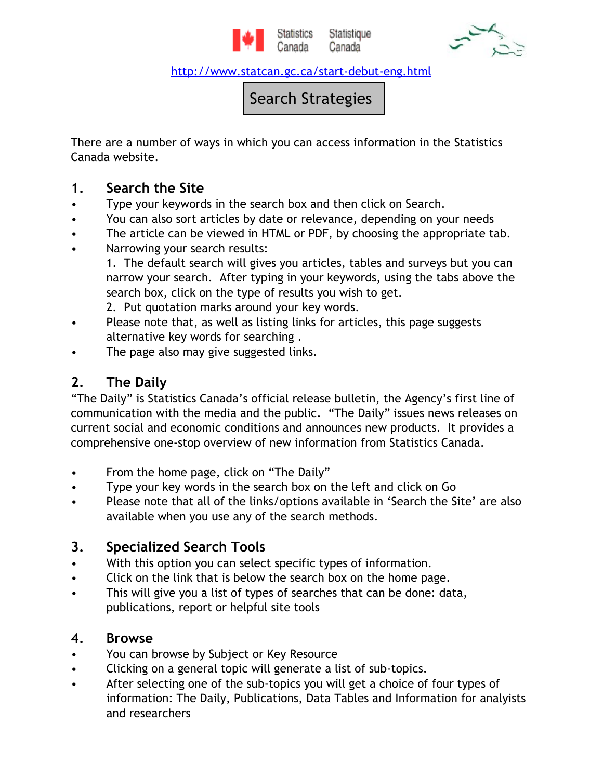

Statistique Canada



http://www.statcan.gc.ca/start-debut-eng.html

Search Strategies

There are a number of ways in which you can access information in the Statistics Canada website.

#### 1. Search the Site

- Type your keywords in the search box and then click on Search.
- You can also sort articles by date or relevance, depending on your needs
- The article can be viewed in HTML or PDF, by choosing the appropriate tab.
- Narrowing your search results:
	- 1. The default search will gives you articles, tables and surveys but you can narrow your search. After typing in your keywords, using the tabs above the search box, click on the type of results you wish to get.
	- 2. Put quotation marks around your key words.
- Please note that, as well as listing links for articles, this page suggests alternative key words for searching .
- The page also may give suggested links.

# 2. The Daily

"The Daily" is Statistics Canada's official release bulletin, the Agency's first line of communication with the media and the public. "The Daily" issues news releases on current social and economic conditions and announces new products. It provides a comprehensive one-stop overview of new information from Statistics Canada.

- From the home page, click on "The Daily"
- Type your key words in the search box on the left and click on Go
- Please note that all of the links/options available in 'Search the Site' are also available when you use any of the search methods.

# 3. Specialized Search Tools

- With this option you can select specific types of information.
- Click on the link that is below the search box on the home page.
- This will give you a list of types of searches that can be done: data, publications, report or helpful site tools

### 4. Browse

- You can browse by Subject or Key Resource
- Clicking on a general topic will generate a list of sub-topics.
- After selecting one of the sub-topics you will get a choice of four types of information: The Daily, Publications, Data Tables and Information for analyists and researchers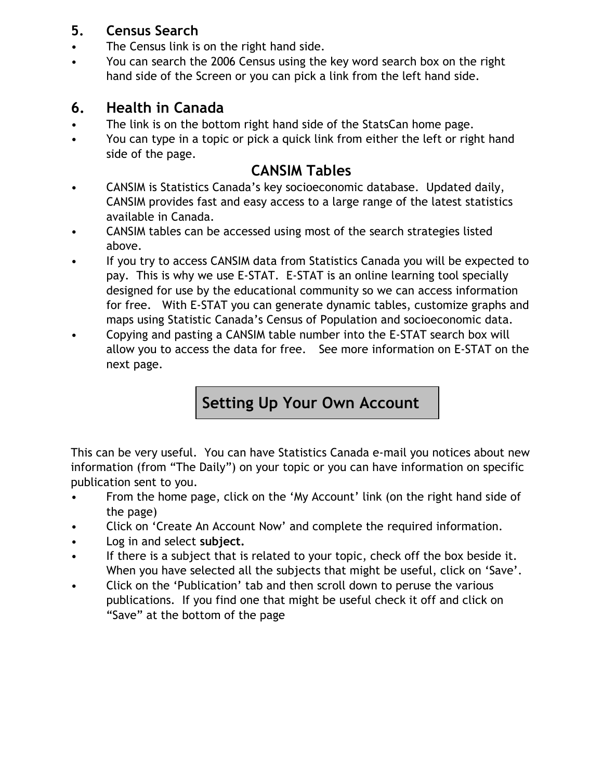## 5. Census Search

- The Census link is on the right hand side.
- You can search the 2006 Census using the key word search box on the right hand side of the Screen or you can pick a link from the left hand side.

## 6. Health in Canada

- The link is on the bottom right hand side of the StatsCan home page.
- You can type in a topic or pick a quick link from either the left or right hand side of the page.

## CANSIM Tables

- CANSIM is Statistics Canada's key socioeconomic database. Updated daily, CANSIM provides fast and easy access to a large range of the latest statistics available in Canada.
- CANSIM tables can be accessed using most of the search strategies listed above.
- If you try to access CANSIM data from Statistics Canada you will be expected to pay. This is why we use E-STAT. E-STAT is an online learning tool specially designed for use by the educational community so we can access information for free. With E-STAT you can generate dynamic tables, customize graphs and maps using Statistic Canada's Census of Population and socioeconomic data.
- Copying and pasting a CANSIM table number into the E-STAT search box will allow you to access the data for free. See more information on E-STAT on the next page.

# Setting Up Your Own Account

This can be very useful. You can have Statistics Canada e-mail you notices about new information (from "The Daily") on your topic or you can have information on specific publication sent to you.

- From the home page, click on the 'My Account' link (on the right hand side of the page)
- Click on 'Create An Account Now' and complete the required information.
- Log in and select subject.
- If there is a subject that is related to your topic, check off the box beside it. When you have selected all the subjects that might be useful, click on 'Save'.
- Click on the 'Publication' tab and then scroll down to peruse the various publications. If you find one that might be useful check it off and click on "Save" at the bottom of the page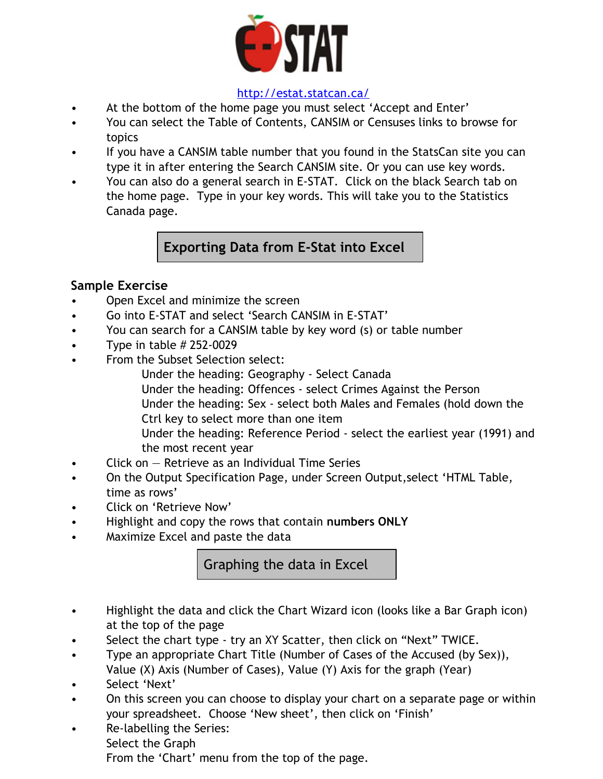

#### http://estat.statcan.ca/

- At the bottom of the home page you must select 'Accept and Enter'
- You can select the Table of Contents, CANSIM or Censuses links to browse for topics
- If you have a CANSIM table number that you found in the StatsCan site you can type it in after entering the Search CANSIM site. Or you can use key words.
- You can also do a general search in E-STAT. Click on the black Search tab on the home page. Type in your key words. This will take you to the Statistics Canada page.

Exporting Data from E-Stat into Excel

#### Sample Exercise

- Open Excel and minimize the screen
- Go into E-STAT and select 'Search CANSIM in E-STAT'
- You can search for a CANSIM table by key word (s) or table number
- Type in table  $\#$  252-0029
- From the Subset Selection select:
	- Under the heading: Geography Select Canada Under the heading: Offences - select Crimes Against the Person Under the heading: Sex - select both Males and Females (hold down the Ctrl key to select more than one item Under the heading: Reference Period - select the earliest year (1991) and
	- the most recent year
- Click on Retrieve as an Individual Time Series
- On the Output Specification Page, under Screen Output,select 'HTML Table, time as rows'
- Click on 'Retrieve Now'
- Highlight and copy the rows that contain numbers ONLY
- Maximize Excel and paste the data

Graphing the data in Excel

- Highlight the data and click the Chart Wizard icon (looks like a Bar Graph icon) at the top of the page
- Select the chart type try an XY Scatter, then click on "Next" TWICE.
- Type an appropriate Chart Title (Number of Cases of the Accused (by Sex)), Value (X) Axis (Number of Cases), Value (Y) Axis for the graph (Year)
- Select 'Next'
- On this screen you can choose to display your chart on a separate page or within your spreadsheet. Choose 'New sheet', then click on 'Finish'
- Re-labelling the Series: Select the Graph From the 'Chart' menu from the top of the page.